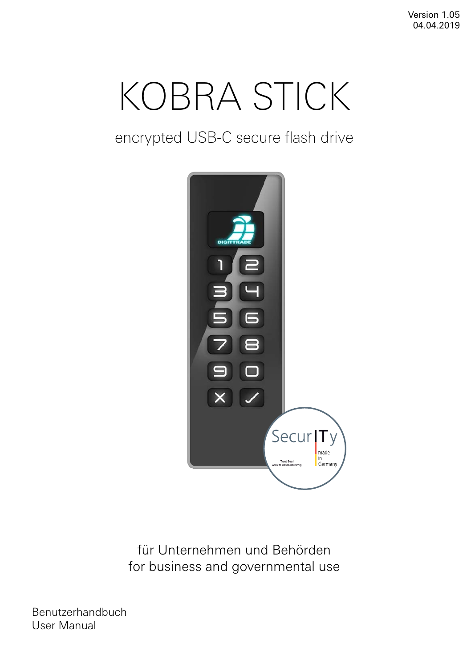Version 1.05 04.04.2019

# KOBRA STICK

encrypted USB-C secure flash drive



für Unternehmen und Behörden for business and governmental use

Benutzerhandbuch User Manual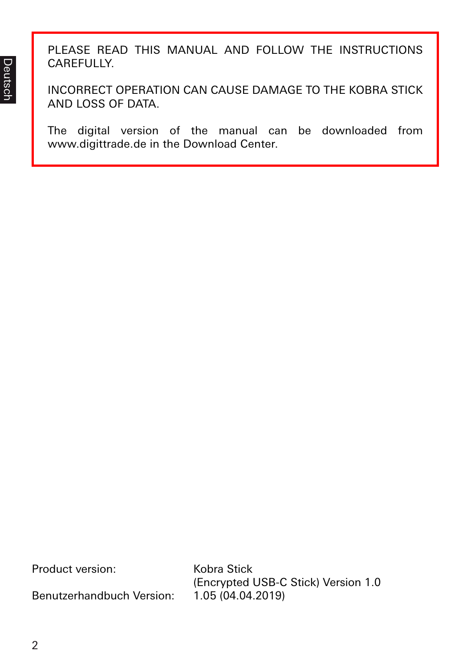PLEASE READ THIS MANUAL AND FOLLOW THE INSTRUCTIONS CAREFULLY.

INCORRECT OPERATION CAN CAUSE DAMAGE TO THE KOBRA STICK AND LOSS OF DATA.

The digital version of the manual can be downloaded from www.digittrade.de in the Download Center.

| Product version: | Kobra Stick |  |
|------------------|-------------|--|
|                  |             |  |

Benutzerhandbuch Version: 1.05 (04.04.2019)

(Encrypted USB-C Stick) Version 1.0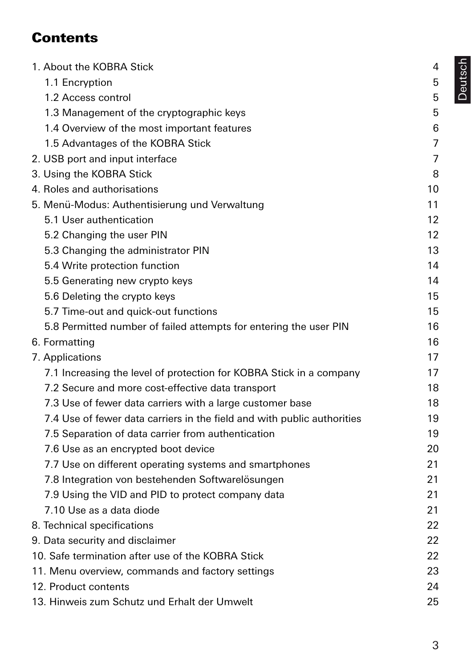# **Contents**

| 1. About the KOBRA Stick                                                | 4  |
|-------------------------------------------------------------------------|----|
| 1.1 Encryption                                                          | 5  |
| 1.2 Access control                                                      | 5  |
| 1.3 Management of the cryptographic keys                                | 5  |
| 1.4 Overview of the most important features                             | 6  |
| 1.5 Advantages of the KOBRA Stick                                       | 7  |
| 2. USB port and input interface                                         | 7  |
| 3. Using the KOBRA Stick                                                | 8  |
| 4. Roles and authorisations                                             | 10 |
| 5. Menü-Modus: Authentisierung und Verwaltung                           | 11 |
| 5.1 User authentication                                                 | 12 |
| 5.2 Changing the user PIN                                               | 12 |
| 5.3 Changing the administrator PIN                                      | 13 |
| 5.4 Write protection function                                           | 14 |
| 5.5 Generating new crypto keys                                          | 14 |
| 5.6 Deleting the crypto keys                                            | 15 |
| 5.7 Time-out and quick-out functions                                    | 15 |
| 5.8 Permitted number of failed attempts for entering the user PIN       | 16 |
| 6. Formatting                                                           | 16 |
| 7. Applications                                                         | 17 |
| 7.1 Increasing the level of protection for KOBRA Stick in a company     | 17 |
| 7.2 Secure and more cost-effective data transport                       | 18 |
| 7.3 Use of fewer data carriers with a large customer base               | 18 |
| 7.4 Use of fewer data carriers in the field and with public authorities | 19 |
| 7.5 Separation of data carrier from authentication                      | 19 |
| 7.6 Use as an encrypted boot device                                     | 20 |
| 7.7 Use on different operating systems and smartphones                  | 21 |
| 7.8 Integration von bestehenden Softwarelösungen                        | 21 |
| 7.9 Using the VID and PID to protect company data                       | 21 |
| 7.10 Use as a data diode                                                | 21 |
| 8. Technical specifications                                             | 22 |
| 9. Data security and disclaimer                                         | 22 |
| 10. Safe termination after use of the KOBRA Stick                       | 22 |
| 11. Menu overview, commands and factory settings                        | 23 |
| 12. Product contents                                                    | 24 |
| 13. Hinweis zum Schutz und Erhalt der Umwelt                            | 25 |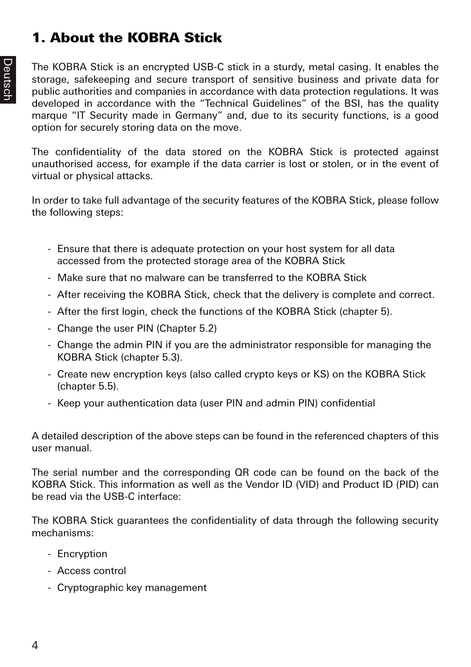# 1. About the KOBRA Stick

The KOBRA Stick is an encrypted USB-C stick in a sturdy, metal casing. It enables the storage, safekeeping and secure transport of sensitive business and private data for public authorities and companies in accordance with data protection regulations. It was developed in accordance with the "Technical Guidelines" of the BSI, has the quality marque "IT Security made in Germany" and, due to its security functions, is a good option for securely storing data on the move.

The confidentiality of the data stored on the KOBRA Stick is protected against unauthorised access, for example if the data carrier is lost or stolen, or in the event of virtual or physical attacks.

In order to take full advantage of the security features of the KOBRA Stick, please follow the following steps:

- Ensure that there is adequate protection on your host system for all data accessed from the protected storage area of the KOBRA Stick
- Make sure that no malware can be transferred to the KOBRA Stick
- After receiving the KOBRA Stick, check that the delivery is complete and correct.
- After the first login, check the functions of the KOBRA Stick (chapter 5).
- Change the user PIN (Chapter 5.2)
- Change the admin PIN if you are the administrator responsible for managing the KOBRA Stick (chapter 5.3).
- Create new encryption keys (also called crypto keys or KS) on the KOBRA Stick (chapter 5.5).
- Keep your authentication data (user PIN and admin PIN) confidential

A detailed description of the above steps can be found in the referenced chapters of this user manual.

The serial number and the corresponding QR code can be found on the back of the KOBRA Stick. This information as well as the Vendor ID (VID) and Product ID (PID) can be read via the USB-C interface:

The KOBRA Stick guarantees the confidentiality of data through the following security mechanisms:

- Encryption
- Access control
- Cryptographic key management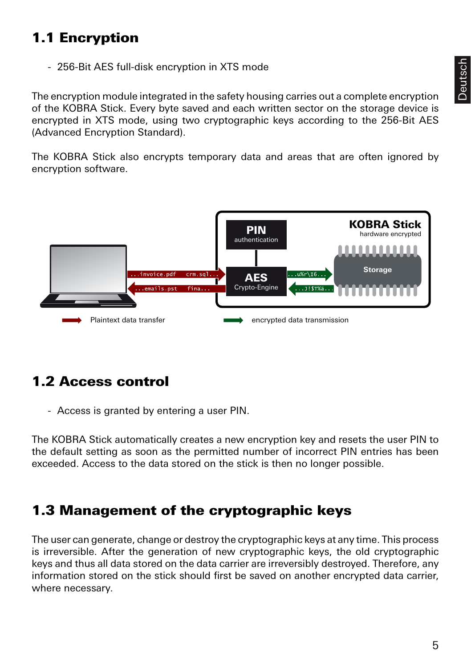# 1.1 Encryption

- 256-Bit AES full-disk encryption in XTS mode

The encryption module integrated in the safety housing carries out a complete encryption of the KOBRA Stick. Every byte saved and each written sector on the storage device is encrypted in XTS mode, using two cryptographic keys according to the 256-Bit AES (Advanced Encryption Standard).

The KOBRA Stick also encrypts temporary data and areas that are often ignored by encryption software.



# 1.2 Access control

- Access is granted by entering a user PIN.

The KOBRA Stick automatically creates a new encryption key and resets the user PIN to the default setting as soon as the permitted number of incorrect PIN entries has been exceeded. Access to the data stored on the stick is then no longer possible.

## 1.3 Management of the cryptographic keys

The user can generate, change or destroy the cryptographic keys at any time. This process is irreversible. After the generation of new cryptographic keys, the old cryptographic keys and thus all data stored on the data carrier are irreversibly destroyed. Therefore, any information stored on the stick should first be saved on another encrypted data carrier, where necessary.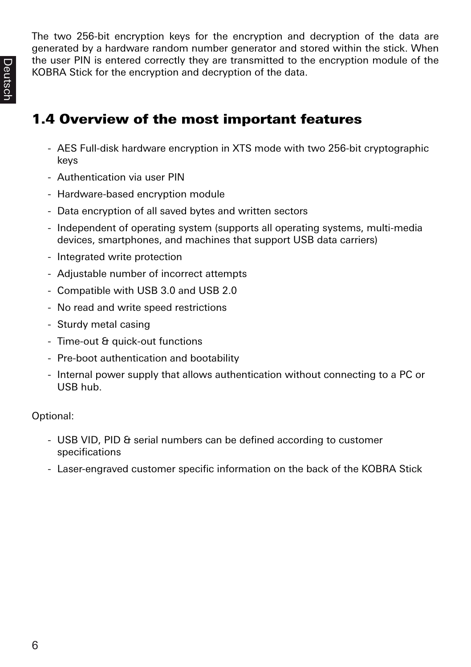The two 256-bit encryption keys for the encryption and decryption of the data are generated by a hardware random number generator and stored within the stick. When the user PIN is entered correctly they are transmitted to the encryption module of the KOBRA Stick for the encryption and decryption of the data.

# 1.4 Overview of the most important features

- AES Full-disk hardware encryption in XTS mode with two 256-bit cryptographic keys
- Authentication via user PIN
- Hardware-based encryption module
- Data encryption of all saved bytes and written sectors
- Independent of operating system (supports all operating systems, multi-media devices, smartphones, and machines that support USB data carriers)
- Integrated write protection
- Adjustable number of incorrect attempts
- Compatible with USB 3.0 and USB 2.0
- No read and write speed restrictions
- Sturdy metal casing
- Time-out & quick-out functions
- Pre-boot authentication and bootability
- Internal power supply that allows authentication without connecting to a PC or USB hub.

Optional:

- USB VID, PID & serial numbers can be defined according to customer specifications
- Laser-engraved customer specific information on the back of the KOBRA Stick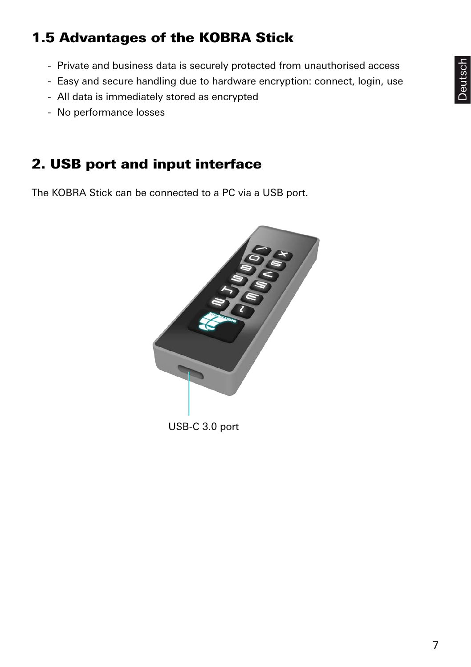# Deutsch

# 1.5 Advantages of the KOBRA Stick

- Private and business data is securely protected from unauthorised access
- Easy and secure handling due to hardware encryption: connect, login, use
- All data is immediately stored as encrypted
- No performance losses

# 2. USB port and input interface

The KOBRA Stick can be connected to a PC via a USB port.

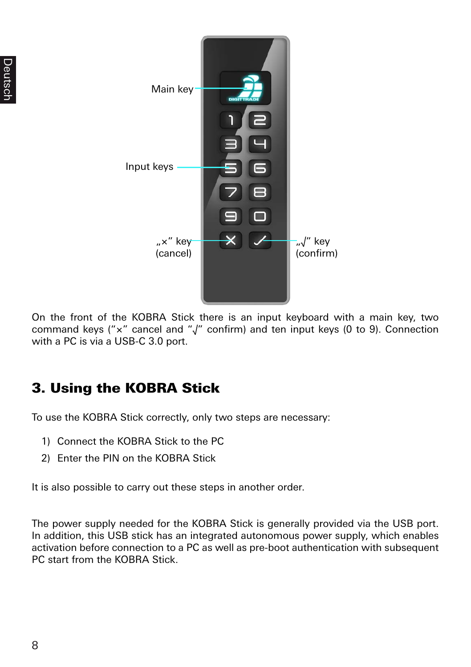

On the front of the KOBRA Stick there is an input keyboard with a main key, two command keys ("×" cancel and "√" confirm) and ten input keys (0 to 9). Connection with a PC is via a USB-C 3.0 port.

# 3. Using the KOBRA Stick

To use the KOBRA Stick correctly, only two steps are necessary:

- 1) Connect the KOBRA Stick to the PC
- 2) Enter the PIN on the KOBRA Stick

It is also possible to carry out these steps in another order.

The power supply needed for the KOBRA Stick is generally provided via the USB port. In addition, this USB stick has an integrated autonomous power supply, which enables activation before connection to a PC as well as pre-boot authentication with subsequent PC start from the KOBRA Stick.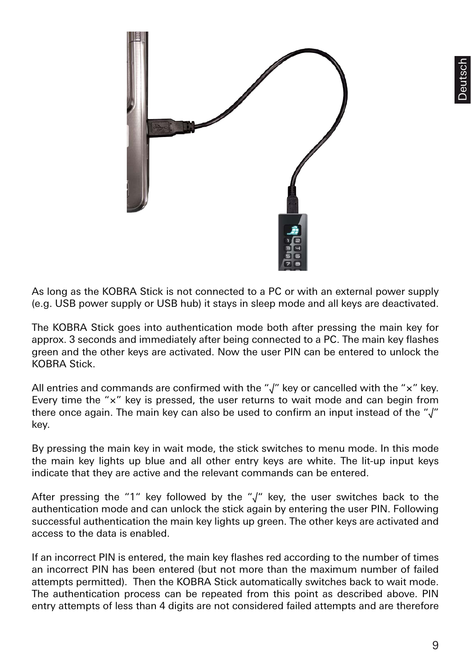

As long as the KOBRA Stick is not connected to a PC or with an external power supply (e.g. USB power supply or USB hub) it stays in sleep mode and all keys are deactivated.

The KOBRA Stick goes into authentication mode both after pressing the main key for approx. 3 seconds and immediately after being connected to a PC. The main key flashes green and the other keys are activated. Now the user PIN can be entered to unlock the KOBRA Stick.

All entries and commands are confirmed with the "√" key or cancelled with the "×" key. Every time the "×" key is pressed, the user returns to wait mode and can begin from there once again. The main key can also be used to confirm an input instead of the "√" key.

By pressing the main key in wait mode, the stick switches to menu mode. In this mode the main key lights up blue and all other entry keys are white. The lit-up input keys indicate that they are active and the relevant commands can be entered.

After pressing the "1" key followed by the "√" key, the user switches back to the authentication mode and can unlock the stick again by entering the user PIN. Following successful authentication the main key lights up green. The other keys are activated and access to the data is enabled.

If an incorrect PIN is entered, the main key flashes red according to the number of times an incorrect PIN has been entered (but not more than the maximum number of failed attempts permitted). Then the KOBRA Stick automatically switches back to wait mode. The authentication process can be repeated from this point as described above. PIN entry attempts of less than 4 digits are not considered failed attempts and are therefore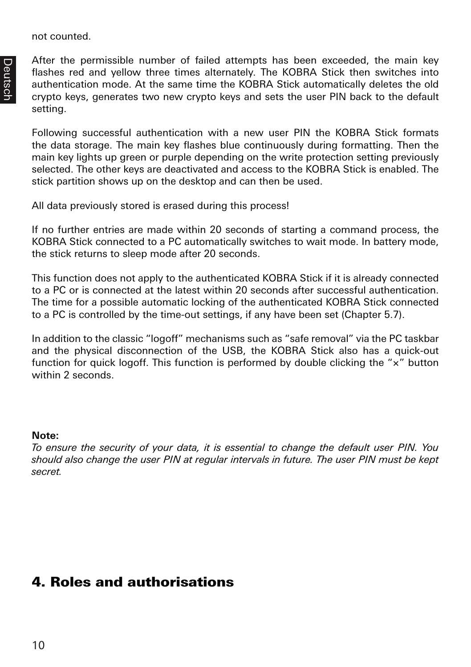not counted.

After the permissible number of failed attempts has been exceeded, the main key flashes red and yellow three times alternately. The KOBRA Stick then switches into authentication mode. At the same time the KOBRA Stick automatically deletes the old crypto keys, generates two new crypto keys and sets the user PIN back to the default setting.

Following successful authentication with a new user PIN the KOBRA Stick formats the data storage. The main key flashes blue continuously during formatting. Then the main key lights up green or purple depending on the write protection setting previously selected. The other keys are deactivated and access to the KOBRA Stick is enabled. The stick partition shows up on the desktop and can then be used.

All data previously stored is erased during this process!

If no further entries are made within 20 seconds of starting a command process, the KOBRA Stick connected to a PC automatically switches to wait mode. In battery mode, the stick returns to sleep mode after 20 seconds.

This function does not apply to the authenticated KOBRA Stick if it is already connected to a PC or is connected at the latest within 20 seconds after successful authentication. The time for a possible automatic locking of the authenticated KOBRA Stick connected to a PC is controlled by the time-out settings, if any have been set (Chapter 5.7).

In addition to the classic "logoff" mechanisms such as "safe removal" via the PC taskbar and the physical disconnection of the USB, the KOBRA Stick also has a quick-out function for quick logoff. This function is performed by double clicking the " $\times$ " button within 2 seconds.

#### **Note:**

*To ensure the security of your data, it is essential to change the default user PIN. You should also change the user PIN at regular intervals in future. The user PIN must be kept secret.*

## 4. Roles and authorisations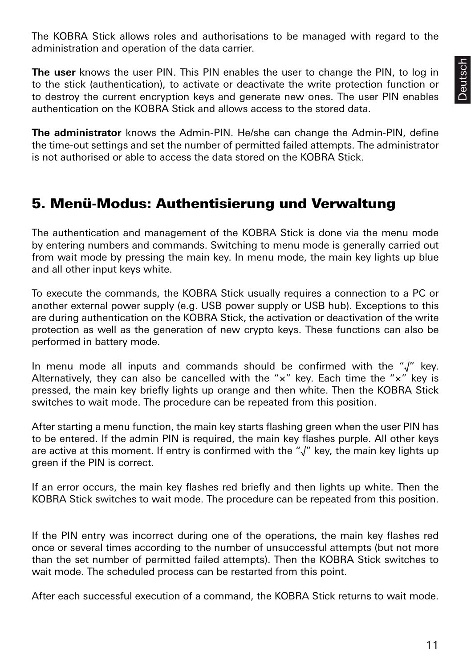The KOBRA Stick allows roles and authorisations to be managed with regard to the administration and operation of the data carrier.

**The user** knows the user PIN. This PIN enables the user to change the PIN, to log in to the stick (authentication), to activate or deactivate the write protection function or to destroy the current encryption keys and generate new ones. The user PIN enables authentication on the KOBRA Stick and allows access to the stored data.

**The administrator** knows the Admin-PIN. He/she can change the Admin-PIN, define the time-out settings and set the number of permitted failed attempts. The administrator is not authorised or able to access the data stored on the KOBRA Stick.

## 5. Menü-Modus: Authentisierung und Verwaltung

The authentication and management of the KOBRA Stick is done via the menu mode by entering numbers and commands. Switching to menu mode is generally carried out from wait mode by pressing the main key. In menu mode, the main key lights up blue and all other input keys white.

To execute the commands, the KOBRA Stick usually requires a connection to a PC or another external power supply (e.g. USB power supply or USB hub). Exceptions to this are during authentication on the KOBRA Stick, the activation or deactivation of the write protection as well as the generation of new crypto keys. These functions can also be performed in battery mode.

In menu mode all inputs and commands should be confirmed with the "√" key. Alternatively, they can also be cancelled with the "×" key. Each time the "×" key is pressed, the main key briefly lights up orange and then white. Then the KOBRA Stick switches to wait mode. The procedure can be repeated from this position.

After starting a menu function, the main key starts flashing green when the user PIN has to be entered. If the admin PIN is required, the main key flashes purple. All other keys are active at this moment. If entry is confirmed with the "√" key, the main key lights up green if the PIN is correct.

If an error occurs, the main key flashes red briefly and then lights up white. Then the KOBRA Stick switches to wait mode. The procedure can be repeated from this position.

If the PIN entry was incorrect during one of the operations, the main key flashes red once or several times according to the number of unsuccessful attempts (but not more than the set number of permitted failed attempts). Then the KOBRA Stick switches to wait mode. The scheduled process can be restarted from this point.

After each successful execution of a command, the KOBRA Stick returns to wait mode.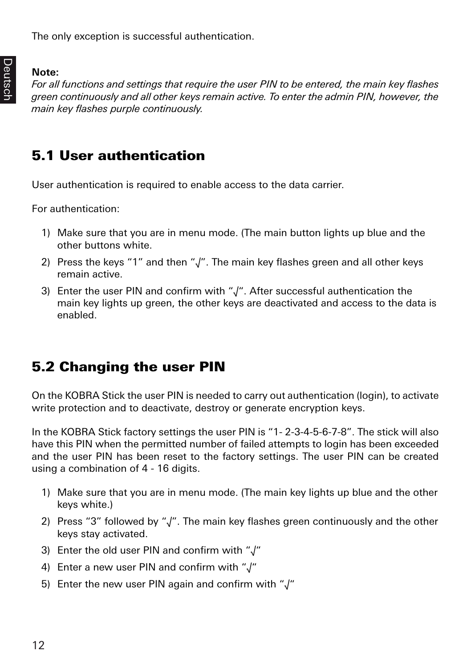The only exception is successful authentication.

#### **Note:**

*For all functions and settings that require the user PIN to be entered, the main key flashes green continuously and all other keys remain active. To enter the admin PIN, however, the main key flashes purple continuously.* 

## 5.1 User authentication

User authentication is required to enable access to the data carrier.

For authentication:

- 1) Make sure that you are in menu mode. (The main button lights up blue and the other buttons white.
- 2) Press the keys "1" and then " $\sqrt{ }$ ". The main key flashes green and all other keys remain active.
- 3) Enter the user PIN and confirm with "√". After successful authentication the main key lights up green, the other keys are deactivated and access to the data is enabled.

# 5.2 Changing the user PIN

On the KOBRA Stick the user PIN is needed to carry out authentication (login), to activate write protection and to deactivate, destroy or generate encryption keys.

In the KOBRA Stick factory settings the user PIN is "1- 2-3-4-5-6-7-8". The stick will also have this PIN when the permitted number of failed attempts to login has been exceeded and the user PIN has been reset to the factory settings. The user PIN can be created using a combination of 4 - 16 digits.

- 1) Make sure that you are in menu mode. (The main key lights up blue and the other keys white.)
- 2) Press "3" followed by "√". The main key flashes green continuously and the other keys stay activated.
- 3) Enter the old user PIN and confirm with "√"
- 4) Enter a new user PIN and confirm with "√"
- 5) Enter the new user PIN again and confirm with "√"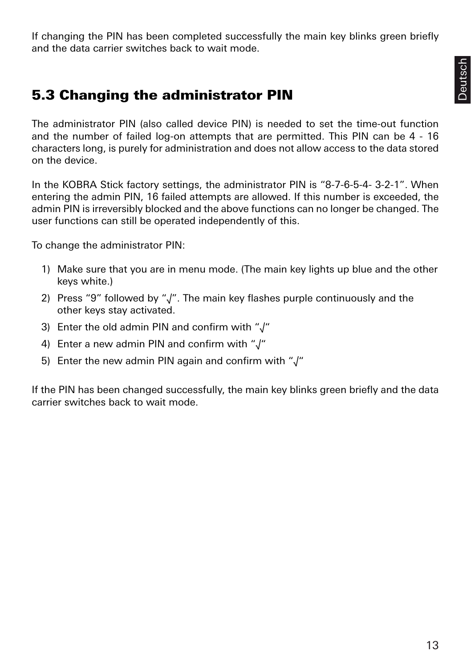If changing the PIN has been completed successfully the main key blinks green briefly and the data carrier switches back to wait mode.

## 5.3 Changing the administrator PIN

The administrator PIN (also called device PIN) is needed to set the time-out function and the number of failed log-on attempts that are permitted. This PIN can be 4 - 16 characters long, is purely for administration and does not allow access to the data stored on the device.

In the KOBRA Stick factory settings, the administrator PIN is "8-7-6-5-4- 3-2-1". When entering the admin PIN, 16 failed attempts are allowed. If this number is exceeded, the admin PIN is irreversibly blocked and the above functions can no longer be changed. The user functions can still be operated independently of this.

To change the administrator PIN:

- 1) Make sure that you are in menu mode. (The main key lights up blue and the other keys white.)
- 2) Press "9" followed by "√". The main key flashes purple continuously and the other keys stay activated.
- 3) Enter the old admin PIN and confirm with "√"
- 4) Enter a new admin PIN and confirm with "√"
- 5) Enter the new admin PIN again and confirm with "√"

If the PIN has been changed successfully, the main key blinks green briefly and the data carrier switches back to wait mode.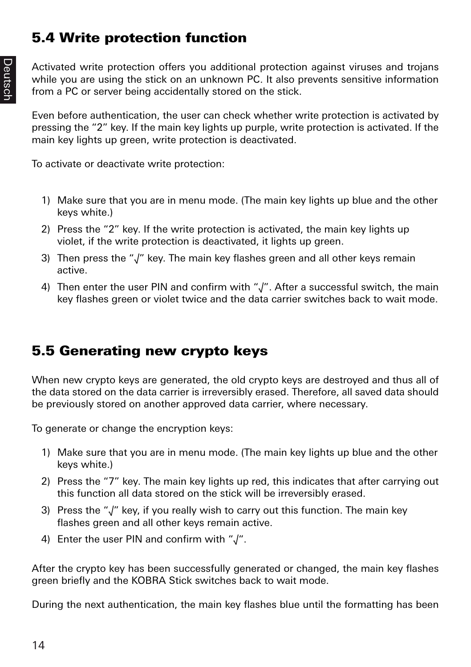# 5.4 Write protection function

Activated write protection offers you additional protection against viruses and trojans while you are using the stick on an unknown PC. It also prevents sensitive information from a PC or server being accidentally stored on the stick.

Even before authentication, the user can check whether write protection is activated by pressing the "2" key. If the main key lights up purple, write protection is activated. If the main key lights up green, write protection is deactivated.

To activate or deactivate write protection:

- 1) Make sure that you are in menu mode. (The main key lights up blue and the other keys white.)
- 2) Press the "2" key. If the write protection is activated, the main key lights up violet, if the write protection is deactivated, it lights up green.
- 3) Then press the "√" key. The main key flashes green and all other keys remain active.
- 4) Then enter the user PIN and confirm with "√". After a successful switch, the main key flashes green or violet twice and the data carrier switches back to wait mode.

# 5.5 Generating new crypto keys

When new crypto keys are generated, the old crypto keys are destroyed and thus all of the data stored on the data carrier is irreversibly erased. Therefore, all saved data should be previously stored on another approved data carrier, where necessary.

To generate or change the encryption keys:

- 1) Make sure that you are in menu mode. (The main key lights up blue and the other keys white.)
- 2) Press the "7" key. The main key lights up red, this indicates that after carrying out this function all data stored on the stick will be irreversibly erased.
- 3) Press the "√" key, if you really wish to carry out this function. The main key flashes green and all other keys remain active.
- 4) Enter the user PIN and confirm with "√".

After the crypto key has been successfully generated or changed, the main key flashes green briefly and the KOBRA Stick switches back to wait mode.

During the next authentication, the main key flashes blue until the formatting has been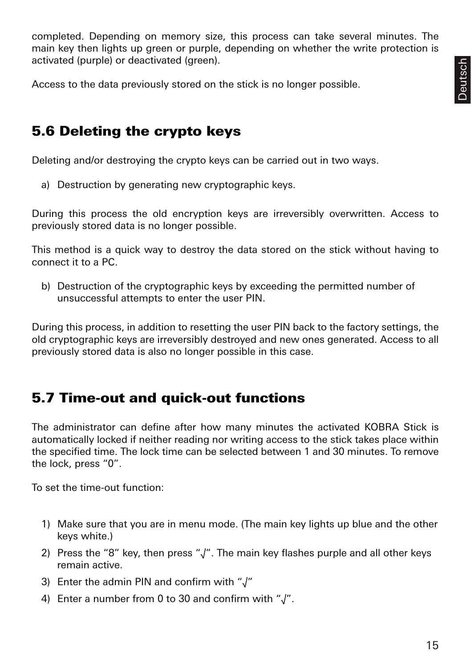completed. Depending on memory size, this process can take several minutes. The main key then lights up green or purple, depending on whether the write protection is activated (purple) or deactivated (green).

Access to the data previously stored on the stick is no longer possible.

#### 5.6 Deleting the crypto keys

Deleting and/or destroying the crypto keys can be carried out in two ways.

a) Destruction by generating new cryptographic keys.

During this process the old encryption keys are irreversibly overwritten. Access to previously stored data is no longer possible.

This method is a quick way to destroy the data stored on the stick without having to connect it to a PC.

b) Destruction of the cryptographic keys by exceeding the permitted number of unsuccessful attempts to enter the user PIN.

During this process, in addition to resetting the user PIN back to the factory settings, the old cryptographic keys are irreversibly destroyed and new ones generated. Access to all previously stored data is also no longer possible in this case.

## 5.7 Time-out and quick-out functions

The administrator can define after how many minutes the activated KOBRA Stick is automatically locked if neither reading nor writing access to the stick takes place within the specified time. The lock time can be selected between 1 and 30 minutes. To remove the lock, press "0".

To set the time-out function:

- 1) Make sure that you are in menu mode. (The main key lights up blue and the other keys white.)
- 2) Press the "8" key, then press "√". The main key flashes purple and all other keys remain active.
- 3) Enter the admin PIN and confirm with "√"
- 4) Enter a number from 0 to 30 and confirm with "√".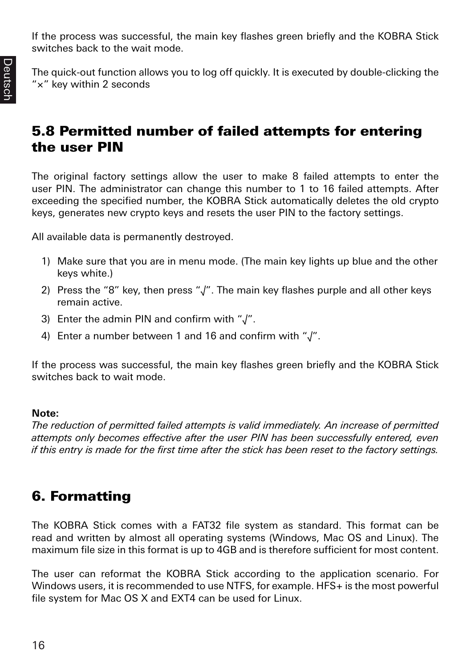If the process was successful, the main key flashes green briefly and the KOBRA Stick switches back to the wait mode.

The quick-out function allows you to log off quickly. It is executed by double-clicking the "×" key within 2 seconds

## 5.8 Permitted number of failed attempts for entering the user PIN

The original factory settings allow the user to make 8 failed attempts to enter the user PIN. The administrator can change this number to 1 to 16 failed attempts. After exceeding the specified number, the KOBRA Stick automatically deletes the old crypto keys, generates new crypto keys and resets the user PIN to the factory settings.

All available data is permanently destroyed.

- 1) Make sure that you are in menu mode. (The main key lights up blue and the other keys white.)
- 2) Press the "8" key, then press "√". The main key flashes purple and all other keys remain active.
- 3) Enter the admin PIN and confirm with "√".
- 4) Enter a number between 1 and 16 and confirm with "√".

If the process was successful, the main key flashes green briefly and the KOBRA Stick switches back to wait mode.

#### **Note:**

*The reduction of permitted failed attempts is valid immediately. An increase of permitted attempts only becomes effective after the user PIN has been successfully entered, even if this entry is made for the first time after the stick has been reset to the factory settings.*

# 6. Formatting

The KOBRA Stick comes with a FAT32 file system as standard. This format can be read and written by almost all operating systems (Windows, Mac OS and Linux). The maximum file size in this format is up to 4GB and is therefore sufficient for most content.

The user can reformat the KOBRA Stick according to the application scenario. For Windows users, it is recommended to use NTFS, for example. HFS+ is the most powerful file system for Mac OS X and EXT4 can be used for Linux.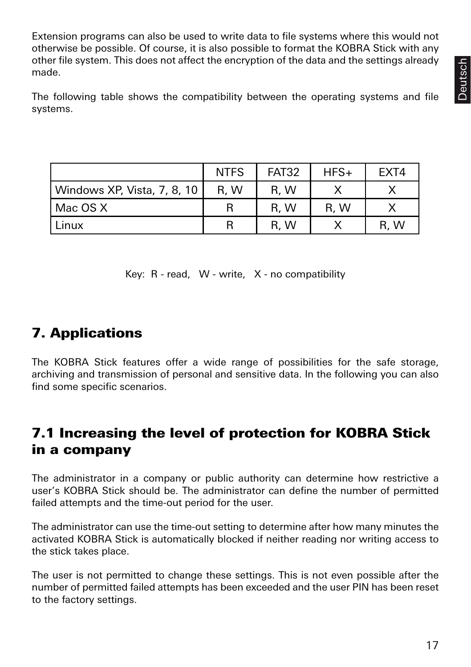**Deutsch** 

Extension programs can also be used to write data to file systems where this would not otherwise be possible. Of course, it is also possible to format the KOBRA Stick with any other file system. This does not affect the encryption of the data and the settings already made.

The following table shows the compatibility between the operating systems and file systems.

|                             | <b>NTFS</b> | <b>FAT32</b> | $HFS+$ | FXT4 |
|-----------------------------|-------------|--------------|--------|------|
| Windows XP, Vista, 7, 8, 10 | R.W         | R, W         |        |      |
| Mac OS X                    | R           | R, W         | R, W   |      |
| Linux                       | R           | R, W         |        | R.W  |

Key: R - read, W - write, X - no compatibility

# 7. Applications

The KOBRA Stick features offer a wide range of possibilities for the safe storage, archiving and transmission of personal and sensitive data. In the following you can also find some specific scenarios.

# 7.1 Increasing the level of protection for KOBRA Stick in a company

The administrator in a company or public authority can determine how restrictive a user's KOBRA Stick should be. The administrator can define the number of permitted failed attempts and the time-out period for the user.

The administrator can use the time-out setting to determine after how many minutes the activated KOBRA Stick is automatically blocked if neither reading nor writing access to the stick takes place.

The user is not permitted to change these settings. This is not even possible after the number of permitted failed attempts has been exceeded and the user PIN has been reset to the factory settings.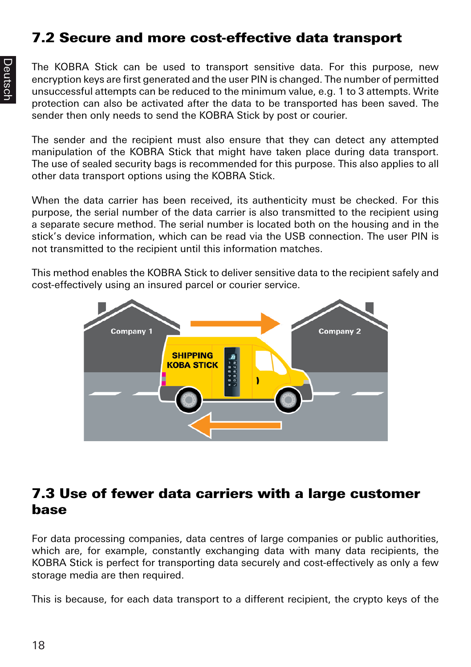# 7.2 Secure and more cost-effective data transport

The KOBRA Stick can be used to transport sensitive data. For this purpose, new encryption keys are first generated and the user PIN is changed. The number of permitted unsuccessful attempts can be reduced to the minimum value, e.g. 1 to 3 attempts. Write protection can also be activated after the data to be transported has been saved. The sender then only needs to send the KOBRA Stick by post or courier.

The sender and the recipient must also ensure that they can detect any attempted manipulation of the KOBRA Stick that might have taken place during data transport. The use of sealed security bags is recommended for this purpose. This also applies to all other data transport options using the KOBRA Stick.

When the data carrier has been received, its authenticity must be checked. For this purpose, the serial number of the data carrier is also transmitted to the recipient using a separate secure method. The serial number is located both on the housing and in the stick's device information, which can be read via the USB connection. The user PIN is not transmitted to the recipient until this information matches.

This method enables the KOBRA Stick to deliver sensitive data to the recipient safely and cost-effectively using an insured parcel or courier service.



#### 7.3 Use of fewer data carriers with a large customer base

For data processing companies, data centres of large companies or public authorities, which are, for example, constantly exchanging data with many data recipients, the KOBRA Stick is perfect for transporting data securely and cost-effectively as only a few storage media are then required.

This is because, for each data transport to a different recipient, the crypto keys of the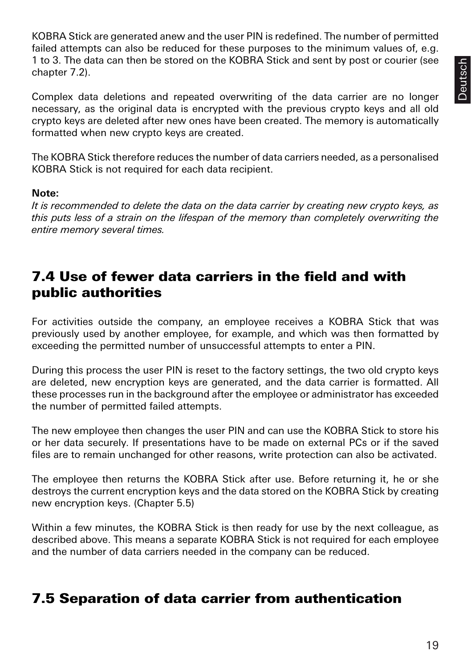KOBRA Stick are generated anew and the user PIN is redefined. The number of permitted failed attempts can also be reduced for these purposes to the minimum values of, e.g. 1 to 3. The data can then be stored on the KOBRA Stick and sent by post or courier (see chapter 7.2).

Complex data deletions and repeated overwriting of the data carrier are no longer necessary, as the original data is encrypted with the previous crypto keys and all old crypto keys are deleted after new ones have been created. The memory is automatically formatted when new crypto keys are created.

The KOBRA Stick therefore reduces the number of data carriers needed, as a personalised KOBRA Stick is not required for each data recipient.

#### **Note:**

*It is recommended to delete the data on the data carrier by creating new crypto keys, as this puts less of a strain on the lifespan of the memory than completely overwriting the entire memory several times.*

#### 7.4 Use of fewer data carriers in the field and with public authorities

For activities outside the company, an employee receives a KOBRA Stick that was previously used by another employee, for example, and which was then formatted by exceeding the permitted number of unsuccessful attempts to enter a PIN.

During this process the user PIN is reset to the factory settings, the two old crypto keys are deleted, new encryption keys are generated, and the data carrier is formatted. All these processes run in the background after the employee or administrator has exceeded the number of permitted failed attempts.

The new employee then changes the user PIN and can use the KOBRA Stick to store his or her data securely. If presentations have to be made on external PCs or if the saved files are to remain unchanged for other reasons, write protection can also be activated.

The employee then returns the KOBRA Stick after use. Before returning it, he or she destroys the current encryption keys and the data stored on the KOBRA Stick by creating new encryption keys. (Chapter 5.5)

Within a few minutes, the KOBRA Stick is then ready for use by the next colleague, as described above. This means a separate KOBRA Stick is not required for each employee and the number of data carriers needed in the company can be reduced.

## 7.5 Separation of data carrier from authentication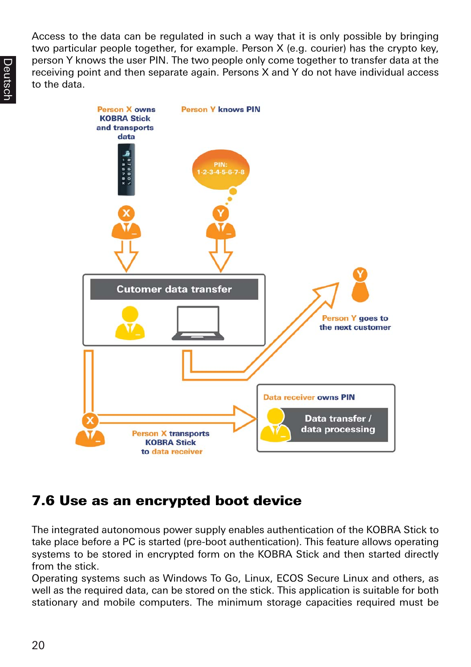Access to the data can be regulated in such a way that it is only possible by bringing two particular people together, for example. Person X (e.g. courier) has the crypto key, person Y knows the user PIN. The two people only come together to transfer data at the receiving point and then separate again. Persons X and Y do not have individual access to the data.



# 7.6 Use as an encrypted boot device

The integrated autonomous power supply enables authentication of the KOBRA Stick to take place before a PC is started (pre-boot authentication). This feature allows operating systems to be stored in encrypted form on the KOBRA Stick and then started directly from the stick.

Operating systems such as Windows To Go, Linux, ECOS Secure Linux and others, as well as the required data, can be stored on the stick. This application is suitable for both stationary and mobile computers. The minimum storage capacities required must be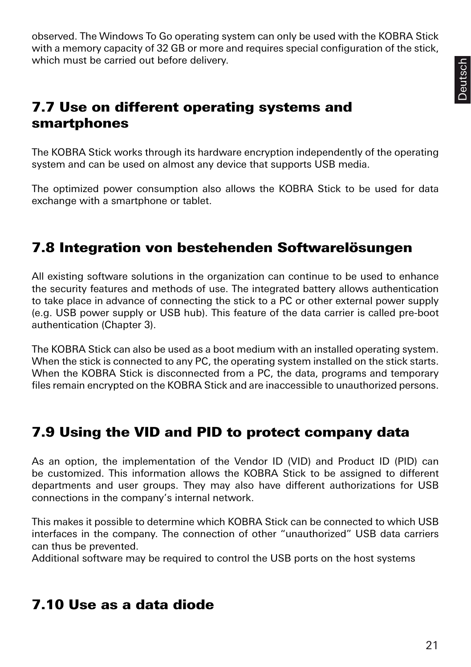observed. The Windows To Go operating system can only be used with the KOBRA Stick with a memory capacity of 32 GB or more and requires special configuration of the stick, which must be carried out before delivery.

## 7.7 Use on different operating systems and smartphones

The KOBRA Stick works through its hardware encryption independently of the operating system and can be used on almost any device that supports USB media.

The optimized power consumption also allows the KOBRA Stick to be used for data exchange with a smartphone or tablet.

# 7.8 Integration von bestehenden Softwarelösungen

All existing software solutions in the organization can continue to be used to enhance the security features and methods of use. The integrated battery allows authentication to take place in advance of connecting the stick to a PC or other external power supply (e.g. USB power supply or USB hub). This feature of the data carrier is called pre-boot authentication (Chapter 3).

The KOBRA Stick can also be used as a boot medium with an installed operating system. When the stick is connected to any PC, the operating system installed on the stick starts. When the KOBRA Stick is disconnected from a PC, the data, programs and temporary files remain encrypted on the KOBRA Stick and are inaccessible to unauthorized persons.

## 7.9 Using the VID and PID to protect company data

As an option, the implementation of the Vendor ID (VID) and Product ID (PID) can be customized. This information allows the KOBRA Stick to be assigned to different departments and user groups. They may also have different authorizations for USB connections in the company's internal network.

This makes it possible to determine which KOBRA Stick can be connected to which USB interfaces in the company. The connection of other "unauthorized" USB data carriers can thus be prevented.

Additional software may be required to control the USB ports on the host systems

## 7.10 Use as a data diode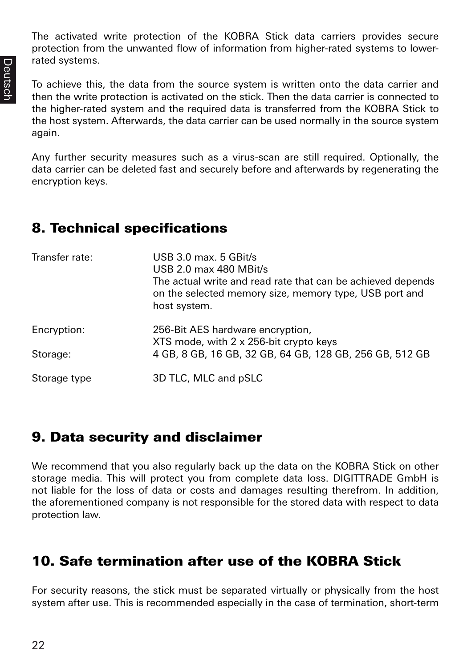The activated write protection of the KOBRA Stick data carriers provides secure protection from the unwanted flow of information from higher-rated systems to lowerrated systems.

To achieve this, the data from the source system is written onto the data carrier and then the write protection is activated on the stick. Then the data carrier is connected to the higher-rated system and the required data is transferred from the KOBRA Stick to the host system. Afterwards, the data carrier can be used normally in the source system again.

Any further security measures such as a virus-scan are still required. Optionally, the data carrier can be deleted fast and securely before and afterwards by regenerating the encryption keys.

## 8. Technical specifications

| Transfer rate: | USB $3.0$ max. $5$ GBit/s<br>USB 2.0 max 480 MBit/s<br>The actual write and read rate that can be achieved depends<br>on the selected memory size, memory type, USB port and<br>host system. |
|----------------|----------------------------------------------------------------------------------------------------------------------------------------------------------------------------------------------|
| Encryption:    | 256-Bit AES hardware encryption,<br>XTS mode, with 2 x 256-bit crypto keys                                                                                                                   |
| Storage:       | 4 GB, 8 GB, 16 GB, 32 GB, 64 GB, 128 GB, 256 GB, 512 GB                                                                                                                                      |
| Storage type   | 3D TLC, MLC and pSLC                                                                                                                                                                         |

#### 9. Data security and disclaimer

We recommend that you also regularly back up the data on the KOBRA Stick on other storage media. This will protect you from complete data loss. DIGITTRADE GmbH is not liable for the loss of data or costs and damages resulting therefrom. In addition, the aforementioned company is not responsible for the stored data with respect to data protection law.

## 10. Safe termination after use of the KOBRA Stick

For security reasons, the stick must be separated virtually or physically from the host system after use. This is recommended especially in the case of termination, short-term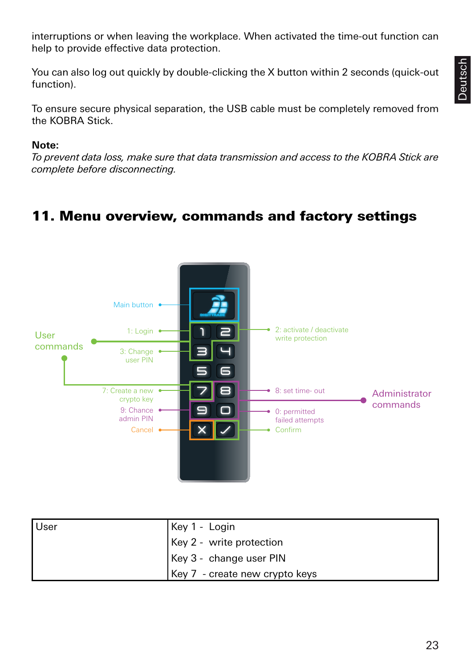interruptions or when leaving the workplace. When activated the time-out function can help to provide effective data protection.

You can also log out quickly by double-clicking the X button within 2 seconds (quick-out function).

To ensure secure physical separation, the USB cable must be completely removed from the KOBRA Stick.

#### **Note:**

*To prevent data loss, make sure that data transmission and access to the KOBRA Stick are complete before disconnecting.*

## 11. Menu overview, commands and factory settings



| User | Key 1 - Login                    |
|------|----------------------------------|
|      | $\vert$ Key 2 - write protection |
|      | Key 3 - change user PIN          |
|      | Key 7 - create new crypto keys   |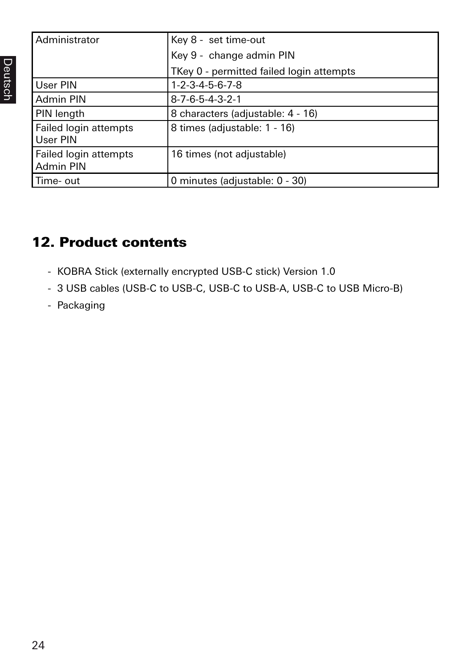| Administrator         | Key 8 - set time-out                     |
|-----------------------|------------------------------------------|
|                       |                                          |
|                       | Key 9 - change admin PIN                 |
|                       | TKey 0 - permitted failed login attempts |
| User PIN              | $1 - 2 - 3 - 4 - 5 - 6 - 7 - 8$          |
| Admin PIN             | $8 - 7 - 6 - 5 - 4 - 3 - 2 - 1$          |
| PIN length            | 8 characters (adjustable: 4 - 16)        |
| Failed login attempts | 8 times (adjustable: 1 - 16)             |
| User PIN              |                                          |
| Failed login attempts | 16 times (not adjustable)                |
| Admin PIN             |                                          |
| Time- out             | 0 minutes (adjustable: 0 - 30)           |

# 12. Product contents

- KOBRA Stick (externally encrypted USB-C stick) Version 1.0
- 3 USB cables (USB-C to USB-C, USB-C to USB-A, USB-C to USB Micro-B)
- Packaging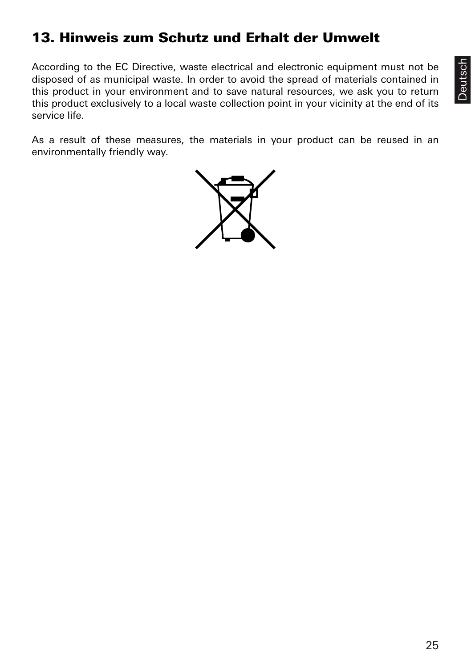# 13. Hinweis zum Schutz und Erhalt der Umwelt

According to the EC Directive, waste electrical and electronic equipment must not be disposed of as municipal waste. In order to avoid the spread of materials contained in this product in your environment and to save natural resources, we ask you to return this product exclusively to a local waste collection point in your vicinity at the end of its service life.

As a result of these measures, the materials in your product can be reused in an environmentally friendly way.

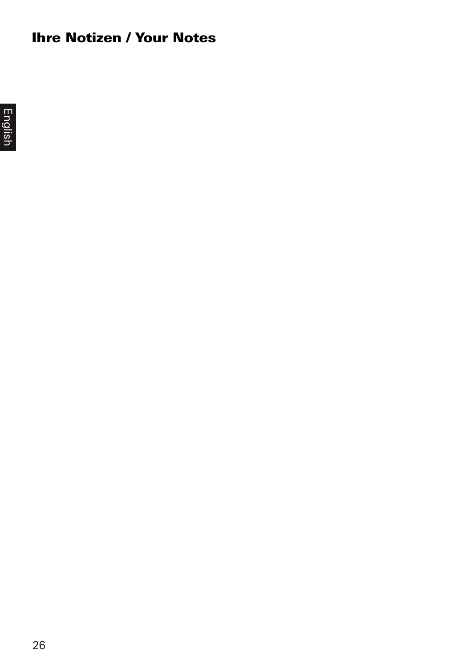# Ihre Notizen / Your Notes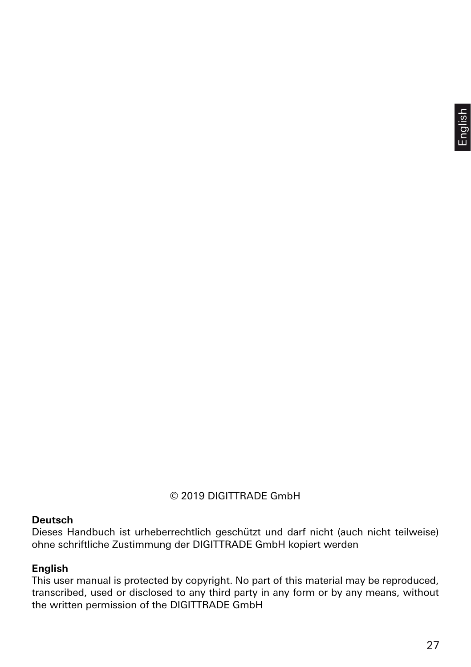#### © 2019 DIGITTRADE GmbH

#### **Deutsch**

Dieses Handbuch ist urheberrechtlich geschützt und darf nicht (auch nicht teilweise) ohne schriftliche Zustimmung der DIGITTRADE GmbH kopiert werden

#### **English**

This user manual is protected by copyright. No part of this material may be reproduced, transcribed, used or disclosed to any third party in any form or by any means, without the written permission of the DIGITTRADE GmbH